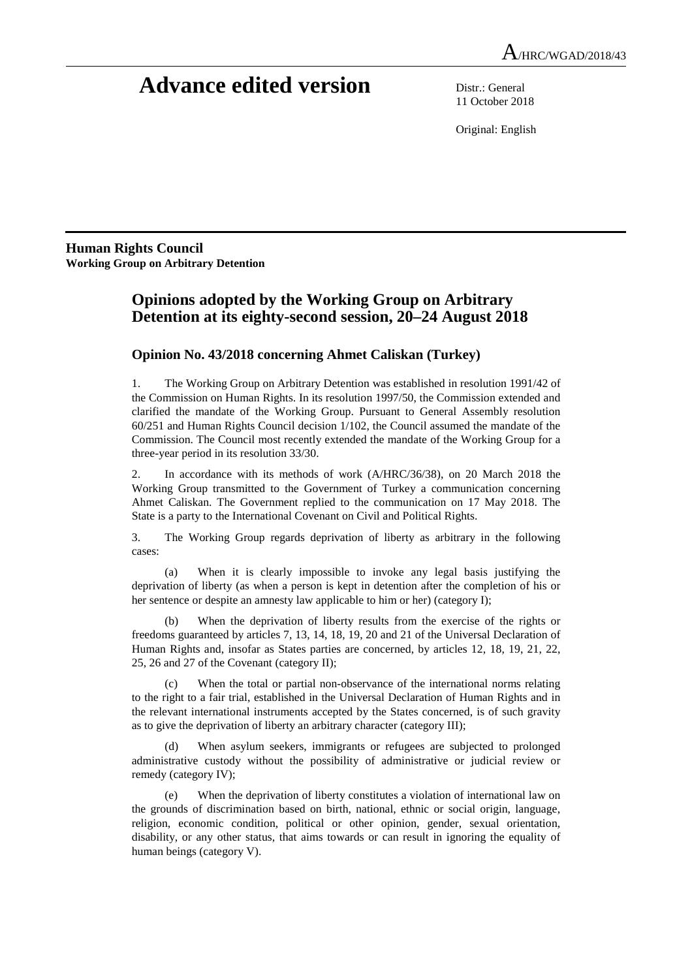# **Advance edited version** Distr.: General

11 October 2018

Original: English

**Human Rights Council Working Group on Arbitrary Detention** 

# **Opinions adopted by the Working Group on Arbitrary Detention at its eighty-second session, 20–24 August 2018**

# **Opinion No. 43/2018 concerning Ahmet Caliskan (Turkey)**

1. The Working Group on Arbitrary Detention was established in resolution 1991/42 of the Commission on Human Rights. In its resolution 1997/50, the Commission extended and clarified the mandate of the Working Group. Pursuant to General Assembly resolution 60/251 and Human Rights Council decision 1/102, the Council assumed the mandate of the Commission. The Council most recently extended the mandate of the Working Group for a three-year period in its resolution 33/30.

2. In accordance with its methods of work (A/HRC/36/38), on 20 March 2018 the Working Group transmitted to the Government of Turkey a communication concerning Ahmet Caliskan. The Government replied to the communication on 17 May 2018. The State is a party to the International Covenant on Civil and Political Rights.

3. The Working Group regards deprivation of liberty as arbitrary in the following cases:

 (a) When it is clearly impossible to invoke any legal basis justifying the deprivation of liberty (as when a person is kept in detention after the completion of his or her sentence or despite an amnesty law applicable to him or her) (category I);

 (b) When the deprivation of liberty results from the exercise of the rights or freedoms guaranteed by articles 7, 13, 14, 18, 19, 20 and 21 of the Universal Declaration of Human Rights and, insofar as States parties are concerned, by articles 12, 18, 19, 21, 22, 25, 26 and 27 of the Covenant (category II);

 (c) When the total or partial non-observance of the international norms relating to the right to a fair trial, established in the Universal Declaration of Human Rights and in the relevant international instruments accepted by the States concerned, is of such gravity as to give the deprivation of liberty an arbitrary character (category III);

When asylum seekers, immigrants or refugees are subjected to prolonged administrative custody without the possibility of administrative or judicial review or remedy (category IV);

 (e) When the deprivation of liberty constitutes a violation of international law on the grounds of discrimination based on birth, national, ethnic or social origin, language, religion, economic condition, political or other opinion, gender, sexual orientation, disability, or any other status, that aims towards or can result in ignoring the equality of human beings (category V).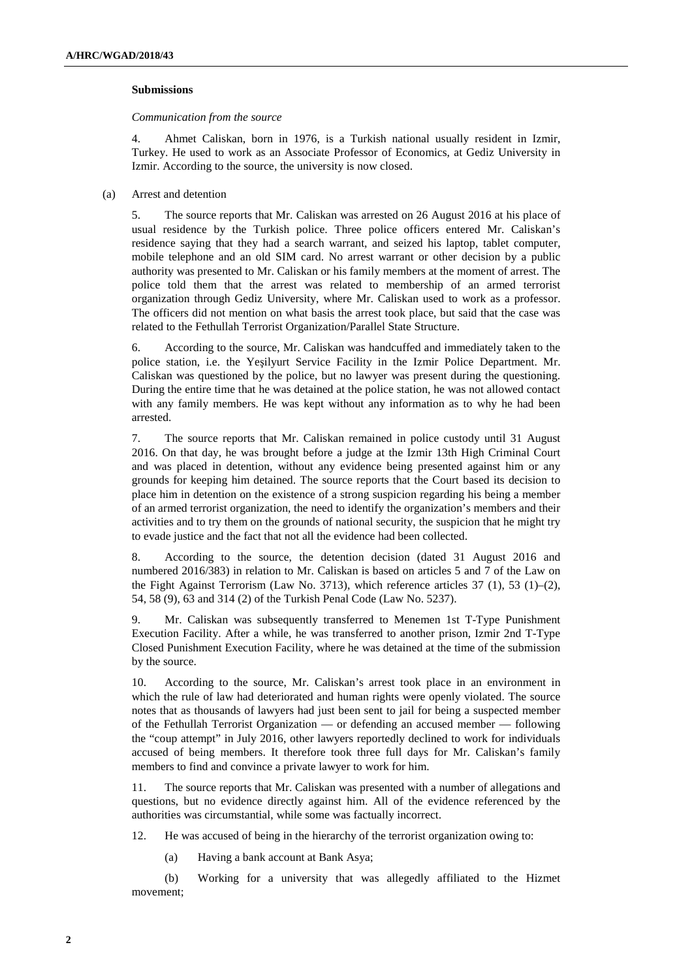#### **Submissions**

 *Communication from the source* 

4. Ahmet Caliskan, born in 1976, is a Turkish national usually resident in Izmir, Turkey. He used to work as an Associate Professor of Economics, at Gediz University in Izmir. According to the source, the university is now closed.

(a) Arrest and detention

5. The source reports that Mr. Caliskan was arrested on 26 August 2016 at his place of usual residence by the Turkish police. Three police officers entered Mr. Caliskan's residence saying that they had a search warrant, and seized his laptop, tablet computer, mobile telephone and an old SIM card. No arrest warrant or other decision by a public authority was presented to Mr. Caliskan or his family members at the moment of arrest. The police told them that the arrest was related to membership of an armed terrorist organization through Gediz University, where Mr. Caliskan used to work as a professor. The officers did not mention on what basis the arrest took place, but said that the case was related to the Fethullah Terrorist Organization/Parallel State Structure.

6. According to the source, Mr. Caliskan was handcuffed and immediately taken to the police station, i.e. the Yeşilyurt Service Facility in the Izmir Police Department. Mr. Caliskan was questioned by the police, but no lawyer was present during the questioning. During the entire time that he was detained at the police station, he was not allowed contact with any family members. He was kept without any information as to why he had been arrested.

7. The source reports that Mr. Caliskan remained in police custody until 31 August 2016. On that day, he was brought before a judge at the Izmir 13th High Criminal Court and was placed in detention, without any evidence being presented against him or any grounds for keeping him detained. The source reports that the Court based its decision to place him in detention on the existence of a strong suspicion regarding his being a member of an armed terrorist organization, the need to identify the organization's members and their activities and to try them on the grounds of national security, the suspicion that he might try to evade justice and the fact that not all the evidence had been collected.

8. According to the source, the detention decision (dated 31 August 2016 and numbered 2016/383) in relation to Mr. Caliskan is based on articles 5 and 7 of the Law on the Fight Against Terrorism (Law No. 3713), which reference articles  $37 \t(1)$ ,  $53 \t(1)$ – $(2)$ , 54, 58 (9), 63 and 314 (2) of the Turkish Penal Code (Law No. 5237).

9. Mr. Caliskan was subsequently transferred to Menemen 1st T-Type Punishment Execution Facility. After a while, he was transferred to another prison, Izmir 2nd T-Type Closed Punishment Execution Facility, where he was detained at the time of the submission by the source.

10. According to the source, Mr. Caliskan's arrest took place in an environment in which the rule of law had deteriorated and human rights were openly violated. The source notes that as thousands of lawyers had just been sent to jail for being a suspected member of the Fethullah Terrorist Organization — or defending an accused member — following the "coup attempt" in July 2016, other lawyers reportedly declined to work for individuals accused of being members. It therefore took three full days for Mr. Caliskan's family members to find and convince a private lawyer to work for him.

11. The source reports that Mr. Caliskan was presented with a number of allegations and questions, but no evidence directly against him. All of the evidence referenced by the authorities was circumstantial, while some was factually incorrect.

12. He was accused of being in the hierarchy of the terrorist organization owing to:

(a) Having a bank account at Bank Asya;

 (b) Working for a university that was allegedly affiliated to the Hizmet movement;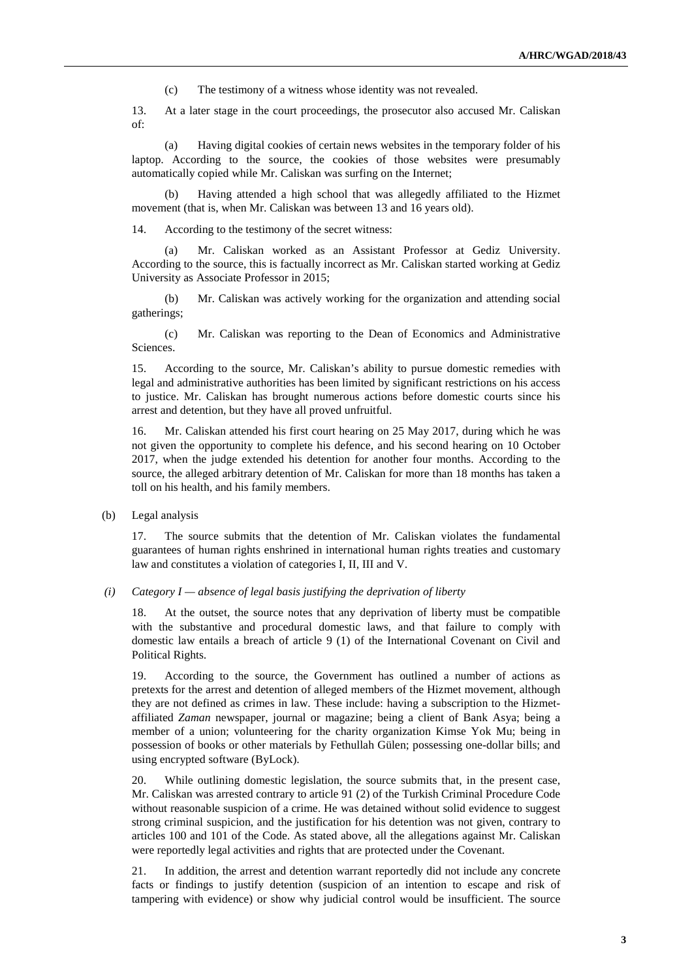(c) The testimony of a witness whose identity was not revealed.

13. At a later stage in the court proceedings, the prosecutor also accused Mr. Caliskan of:

 (a) Having digital cookies of certain news websites in the temporary folder of his laptop. According to the source, the cookies of those websites were presumably automatically copied while Mr. Caliskan was surfing on the Internet;

 (b) Having attended a high school that was allegedly affiliated to the Hizmet movement (that is, when Mr. Caliskan was between 13 and 16 years old).

14. According to the testimony of the secret witness:

 (a) Mr. Caliskan worked as an Assistant Professor at Gediz University. According to the source, this is factually incorrect as Mr. Caliskan started working at Gediz University as Associate Professor in 2015;

 (b) Mr. Caliskan was actively working for the organization and attending social gatherings;

 (c) Mr. Caliskan was reporting to the Dean of Economics and Administrative Sciences.

15. According to the source, Mr. Caliskan's ability to pursue domestic remedies with legal and administrative authorities has been limited by significant restrictions on his access to justice. Mr. Caliskan has brought numerous actions before domestic courts since his arrest and detention, but they have all proved unfruitful.

16. Mr. Caliskan attended his first court hearing on 25 May 2017, during which he was not given the opportunity to complete his defence, and his second hearing on 10 October 2017, when the judge extended his detention for another four months. According to the source, the alleged arbitrary detention of Mr. Caliskan for more than 18 months has taken a toll on his health, and his family members.

(b) Legal analysis

17. The source submits that the detention of Mr. Caliskan violates the fundamental guarantees of human rights enshrined in international human rights treaties and customary law and constitutes a violation of categories I, II, III and V.

 *(i) Category I — absence of legal basis justifying the deprivation of liberty* 

18. At the outset, the source notes that any deprivation of liberty must be compatible with the substantive and procedural domestic laws, and that failure to comply with domestic law entails a breach of article 9 (1) of the International Covenant on Civil and Political Rights.

19. According to the source, the Government has outlined a number of actions as pretexts for the arrest and detention of alleged members of the Hizmet movement, although they are not defined as crimes in law. These include: having a subscription to the Hizmetaffiliated *Zaman* newspaper, journal or magazine; being a client of Bank Asya; being a member of a union; volunteering for the charity organization Kimse Yok Mu; being in possession of books or other materials by Fethullah Gülen; possessing one-dollar bills; and using encrypted software (ByLock).

20. While outlining domestic legislation, the source submits that, in the present case, Mr. Caliskan was arrested contrary to article 91 (2) of the Turkish Criminal Procedure Code without reasonable suspicion of a crime. He was detained without solid evidence to suggest strong criminal suspicion, and the justification for his detention was not given, contrary to articles 100 and 101 of the Code. As stated above, all the allegations against Mr. Caliskan were reportedly legal activities and rights that are protected under the Covenant.

21. In addition, the arrest and detention warrant reportedly did not include any concrete facts or findings to justify detention (suspicion of an intention to escape and risk of tampering with evidence) or show why judicial control would be insufficient. The source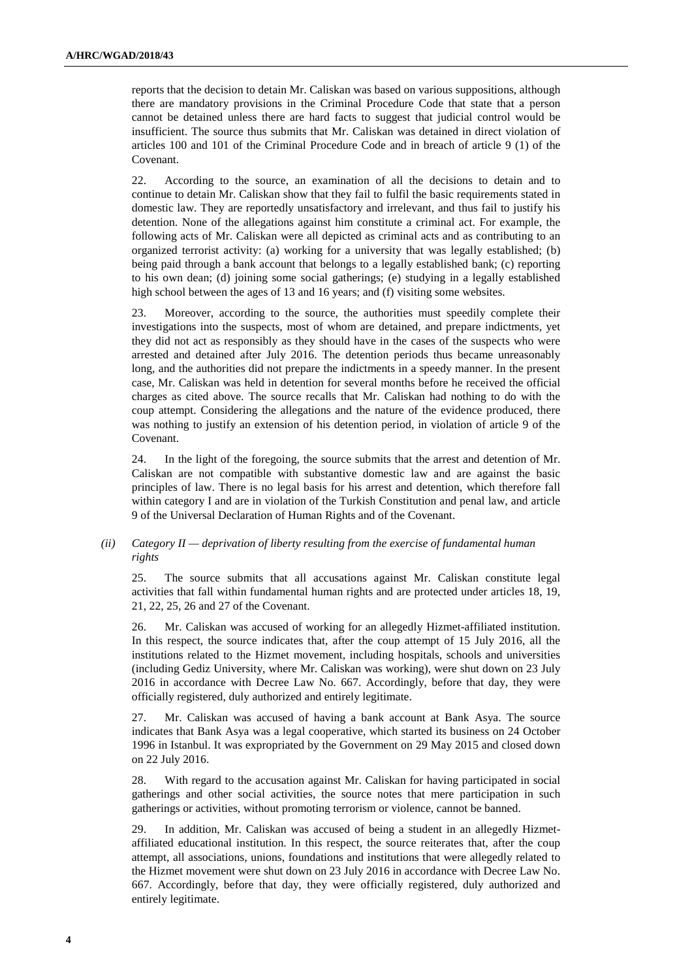reports that the decision to detain Mr. Caliskan was based on various suppositions, although there are mandatory provisions in the Criminal Procedure Code that state that a person cannot be detained unless there are hard facts to suggest that judicial control would be insufficient. The source thus submits that Mr. Caliskan was detained in direct violation of articles 100 and 101 of the Criminal Procedure Code and in breach of article 9 (1) of the Covenant.

22. According to the source, an examination of all the decisions to detain and to continue to detain Mr. Caliskan show that they fail to fulfil the basic requirements stated in domestic law. They are reportedly unsatisfactory and irrelevant, and thus fail to justify his detention. None of the allegations against him constitute a criminal act. For example, the following acts of Mr. Caliskan were all depicted as criminal acts and as contributing to an organized terrorist activity: (a) working for a university that was legally established; (b) being paid through a bank account that belongs to a legally established bank; (c) reporting to his own dean; (d) joining some social gatherings; (e) studying in a legally established high school between the ages of 13 and 16 years; and (f) visiting some websites.

23. Moreover, according to the source, the authorities must speedily complete their investigations into the suspects, most of whom are detained, and prepare indictments, yet they did not act as responsibly as they should have in the cases of the suspects who were arrested and detained after July 2016. The detention periods thus became unreasonably long, and the authorities did not prepare the indictments in a speedy manner. In the present case, Mr. Caliskan was held in detention for several months before he received the official charges as cited above. The source recalls that Mr. Caliskan had nothing to do with the coup attempt. Considering the allegations and the nature of the evidence produced, there was nothing to justify an extension of his detention period, in violation of article 9 of the Covenant.

24. In the light of the foregoing, the source submits that the arrest and detention of Mr. Caliskan are not compatible with substantive domestic law and are against the basic principles of law. There is no legal basis for his arrest and detention, which therefore fall within category I and are in violation of the Turkish Constitution and penal law, and article 9 of the Universal Declaration of Human Rights and of the Covenant.

# *(ii) Category II — deprivation of liberty resulting from the exercise of fundamental human rights*

25. The source submits that all accusations against Mr. Caliskan constitute legal activities that fall within fundamental human rights and are protected under articles 18, 19, 21, 22, 25, 26 and 27 of the Covenant.

26. Mr. Caliskan was accused of working for an allegedly Hizmet-affiliated institution. In this respect, the source indicates that, after the coup attempt of 15 July 2016, all the institutions related to the Hizmet movement, including hospitals, schools and universities (including Gediz University, where Mr. Caliskan was working), were shut down on 23 July 2016 in accordance with Decree Law No. 667. Accordingly, before that day, they were officially registered, duly authorized and entirely legitimate.

27. Mr. Caliskan was accused of having a bank account at Bank Asya. The source indicates that Bank Asya was a legal cooperative, which started its business on 24 October 1996 in Istanbul. It was expropriated by the Government on 29 May 2015 and closed down on 22 July 2016.

28. With regard to the accusation against Mr. Caliskan for having participated in social gatherings and other social activities, the source notes that mere participation in such gatherings or activities, without promoting terrorism or violence, cannot be banned.

29. In addition, Mr. Caliskan was accused of being a student in an allegedly Hizmetaffiliated educational institution. In this respect, the source reiterates that, after the coup attempt, all associations, unions, foundations and institutions that were allegedly related to the Hizmet movement were shut down on 23 July 2016 in accordance with Decree Law No. 667. Accordingly, before that day, they were officially registered, duly authorized and entirely legitimate.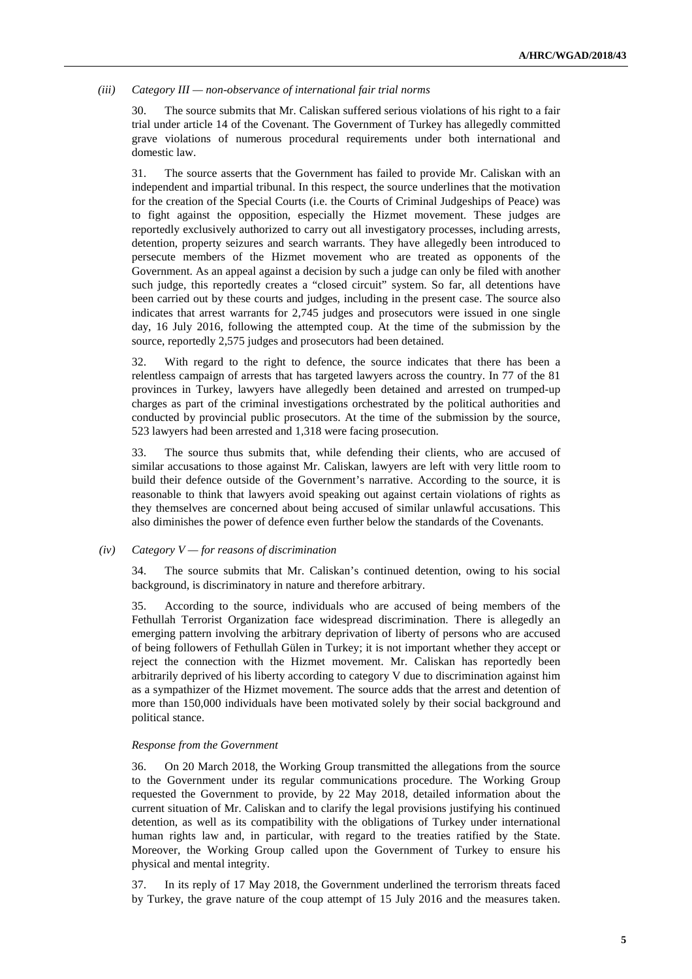# *(iii) Category III — non-observance of international fair trial norms*

30. The source submits that Mr. Caliskan suffered serious violations of his right to a fair trial under article 14 of the Covenant. The Government of Turkey has allegedly committed grave violations of numerous procedural requirements under both international and domestic law.

31. The source asserts that the Government has failed to provide Mr. Caliskan with an independent and impartial tribunal. In this respect, the source underlines that the motivation for the creation of the Special Courts (i.e. the Courts of Criminal Judgeships of Peace) was to fight against the opposition, especially the Hizmet movement. These judges are reportedly exclusively authorized to carry out all investigatory processes, including arrests, detention, property seizures and search warrants. They have allegedly been introduced to persecute members of the Hizmet movement who are treated as opponents of the Government. As an appeal against a decision by such a judge can only be filed with another such judge, this reportedly creates a "closed circuit" system. So far, all detentions have been carried out by these courts and judges, including in the present case. The source also indicates that arrest warrants for 2,745 judges and prosecutors were issued in one single day, 16 July 2016, following the attempted coup. At the time of the submission by the source, reportedly 2,575 judges and prosecutors had been detained.

32. With regard to the right to defence, the source indicates that there has been a relentless campaign of arrests that has targeted lawyers across the country. In 77 of the 81 provinces in Turkey, lawyers have allegedly been detained and arrested on trumped-up charges as part of the criminal investigations orchestrated by the political authorities and conducted by provincial public prosecutors. At the time of the submission by the source, 523 lawyers had been arrested and 1,318 were facing prosecution.

33. The source thus submits that, while defending their clients, who are accused of similar accusations to those against Mr. Caliskan, lawyers are left with very little room to build their defence outside of the Government's narrative. According to the source, it is reasonable to think that lawyers avoid speaking out against certain violations of rights as they themselves are concerned about being accused of similar unlawful accusations. This also diminishes the power of defence even further below the standards of the Covenants.

# *(iv) Category V — for reasons of discrimination*

34. The source submits that Mr. Caliskan's continued detention, owing to his social background, is discriminatory in nature and therefore arbitrary.

35. According to the source, individuals who are accused of being members of the Fethullah Terrorist Organization face widespread discrimination. There is allegedly an emerging pattern involving the arbitrary deprivation of liberty of persons who are accused of being followers of Fethullah Gülen in Turkey; it is not important whether they accept or reject the connection with the Hizmet movement. Mr. Caliskan has reportedly been arbitrarily deprived of his liberty according to category V due to discrimination against him as a sympathizer of the Hizmet movement. The source adds that the arrest and detention of more than 150,000 individuals have been motivated solely by their social background and political stance.

# *Response from the Government*

36. On 20 March 2018, the Working Group transmitted the allegations from the source to the Government under its regular communications procedure. The Working Group requested the Government to provide, by 22 May 2018, detailed information about the current situation of Mr. Caliskan and to clarify the legal provisions justifying his continued detention, as well as its compatibility with the obligations of Turkey under international human rights law and, in particular, with regard to the treaties ratified by the State. Moreover, the Working Group called upon the Government of Turkey to ensure his physical and mental integrity.

37. In its reply of 17 May 2018, the Government underlined the terrorism threats faced by Turkey, the grave nature of the coup attempt of 15 July 2016 and the measures taken.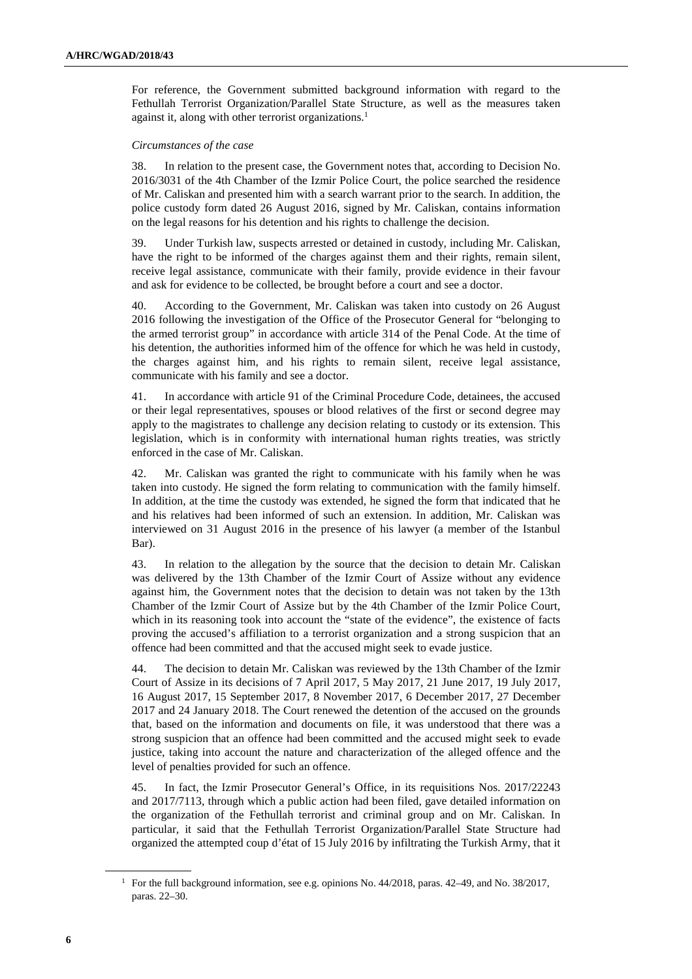For reference, the Government submitted background information with regard to the Fethullah Terrorist Organization/Parallel State Structure, as well as the measures taken against it, along with other terrorist organizations.<sup>1</sup>

#### *Circumstances of the case*

38. In relation to the present case, the Government notes that, according to Decision No. 2016/3031 of the 4th Chamber of the Izmir Police Court, the police searched the residence of Mr. Caliskan and presented him with a search warrant prior to the search. In addition, the police custody form dated 26 August 2016, signed by Mr. Caliskan, contains information on the legal reasons for his detention and his rights to challenge the decision.

39. Under Turkish law, suspects arrested or detained in custody, including Mr. Caliskan, have the right to be informed of the charges against them and their rights, remain silent, receive legal assistance, communicate with their family, provide evidence in their favour and ask for evidence to be collected, be brought before a court and see a doctor.

40. According to the Government, Mr. Caliskan was taken into custody on 26 August 2016 following the investigation of the Office of the Prosecutor General for "belonging to the armed terrorist group" in accordance with article 314 of the Penal Code. At the time of his detention, the authorities informed him of the offence for which he was held in custody, the charges against him, and his rights to remain silent, receive legal assistance, communicate with his family and see a doctor.

41. In accordance with article 91 of the Criminal Procedure Code, detainees, the accused or their legal representatives, spouses or blood relatives of the first or second degree may apply to the magistrates to challenge any decision relating to custody or its extension. This legislation, which is in conformity with international human rights treaties, was strictly enforced in the case of Mr. Caliskan.

42. Mr. Caliskan was granted the right to communicate with his family when he was taken into custody. He signed the form relating to communication with the family himself. In addition, at the time the custody was extended, he signed the form that indicated that he and his relatives had been informed of such an extension. In addition, Mr. Caliskan was interviewed on 31 August 2016 in the presence of his lawyer (a member of the Istanbul Bar).

43. In relation to the allegation by the source that the decision to detain Mr. Caliskan was delivered by the 13th Chamber of the Izmir Court of Assize without any evidence against him, the Government notes that the decision to detain was not taken by the 13th Chamber of the Izmir Court of Assize but by the 4th Chamber of the Izmir Police Court, which in its reasoning took into account the "state of the evidence", the existence of facts proving the accused's affiliation to a terrorist organization and a strong suspicion that an offence had been committed and that the accused might seek to evade justice.

44. The decision to detain Mr. Caliskan was reviewed by the 13th Chamber of the Izmir Court of Assize in its decisions of 7 April 2017, 5 May 2017, 21 June 2017, 19 July 2017, 16 August 2017, 15 September 2017, 8 November 2017, 6 December 2017, 27 December 2017 and 24 January 2018. The Court renewed the detention of the accused on the grounds that, based on the information and documents on file, it was understood that there was a strong suspicion that an offence had been committed and the accused might seek to evade justice, taking into account the nature and characterization of the alleged offence and the level of penalties provided for such an offence.

45. In fact, the Izmir Prosecutor General's Office, in its requisitions Nos. 2017/22243 and 2017/7113, through which a public action had been filed, gave detailed information on the organization of the Fethullah terrorist and criminal group and on Mr. Caliskan. In particular, it said that the Fethullah Terrorist Organization/Parallel State Structure had organized the attempted coup d'état of 15 July 2016 by infiltrating the Turkish Army, that it

<sup>&</sup>lt;sup>1</sup> For the full background information, see e.g. opinions No. 44/2018, paras. 42–49, and No. 38/2017, paras. 22–30.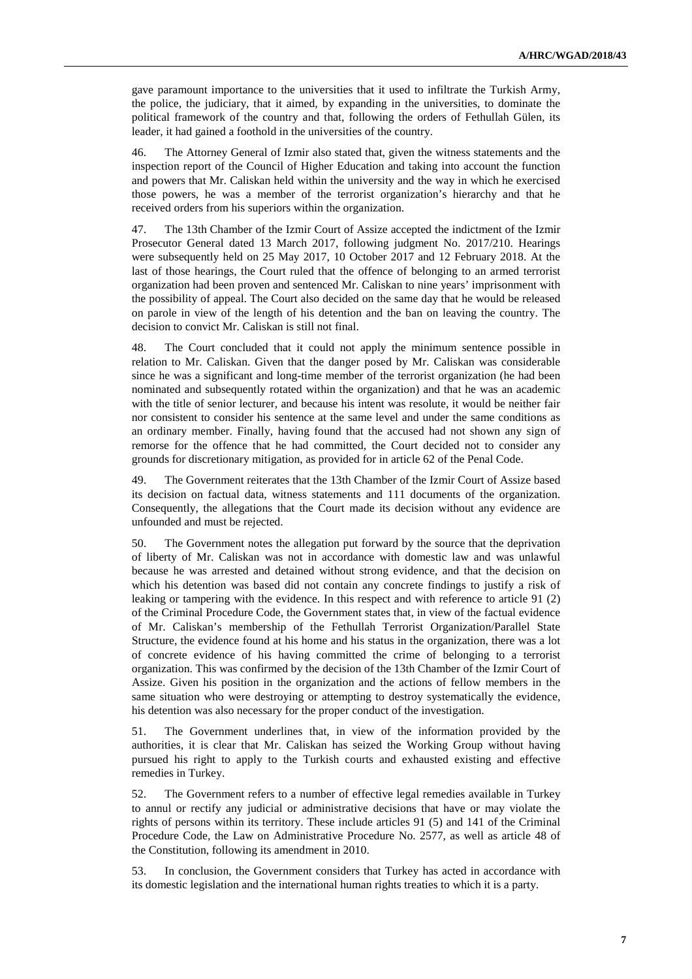gave paramount importance to the universities that it used to infiltrate the Turkish Army, the police, the judiciary, that it aimed, by expanding in the universities, to dominate the political framework of the country and that, following the orders of Fethullah Gülen, its leader, it had gained a foothold in the universities of the country.

46. The Attorney General of Izmir also stated that, given the witness statements and the inspection report of the Council of Higher Education and taking into account the function and powers that Mr. Caliskan held within the university and the way in which he exercised those powers, he was a member of the terrorist organization's hierarchy and that he received orders from his superiors within the organization.

47. The 13th Chamber of the Izmir Court of Assize accepted the indictment of the Izmir Prosecutor General dated 13 March 2017, following judgment No. 2017/210. Hearings were subsequently held on 25 May 2017, 10 October 2017 and 12 February 2018. At the last of those hearings, the Court ruled that the offence of belonging to an armed terrorist organization had been proven and sentenced Mr. Caliskan to nine years' imprisonment with the possibility of appeal. The Court also decided on the same day that he would be released on parole in view of the length of his detention and the ban on leaving the country. The decision to convict Mr. Caliskan is still not final.

48. The Court concluded that it could not apply the minimum sentence possible in relation to Mr. Caliskan. Given that the danger posed by Mr. Caliskan was considerable since he was a significant and long-time member of the terrorist organization (he had been nominated and subsequently rotated within the organization) and that he was an academic with the title of senior lecturer, and because his intent was resolute, it would be neither fair nor consistent to consider his sentence at the same level and under the same conditions as an ordinary member. Finally, having found that the accused had not shown any sign of remorse for the offence that he had committed, the Court decided not to consider any grounds for discretionary mitigation, as provided for in article 62 of the Penal Code.

49. The Government reiterates that the 13th Chamber of the Izmir Court of Assize based its decision on factual data, witness statements and 111 documents of the organization. Consequently, the allegations that the Court made its decision without any evidence are unfounded and must be rejected.

50. The Government notes the allegation put forward by the source that the deprivation of liberty of Mr. Caliskan was not in accordance with domestic law and was unlawful because he was arrested and detained without strong evidence, and that the decision on which his detention was based did not contain any concrete findings to justify a risk of leaking or tampering with the evidence. In this respect and with reference to article 91 (2) of the Criminal Procedure Code, the Government states that, in view of the factual evidence of Mr. Caliskan's membership of the Fethullah Terrorist Organization/Parallel State Structure, the evidence found at his home and his status in the organization, there was a lot of concrete evidence of his having committed the crime of belonging to a terrorist organization. This was confirmed by the decision of the 13th Chamber of the Izmir Court of Assize. Given his position in the organization and the actions of fellow members in the same situation who were destroying or attempting to destroy systematically the evidence, his detention was also necessary for the proper conduct of the investigation.

51. The Government underlines that, in view of the information provided by the authorities, it is clear that Mr. Caliskan has seized the Working Group without having pursued his right to apply to the Turkish courts and exhausted existing and effective remedies in Turkey.

52. The Government refers to a number of effective legal remedies available in Turkey to annul or rectify any judicial or administrative decisions that have or may violate the rights of persons within its territory. These include articles 91 (5) and 141 of the Criminal Procedure Code, the Law on Administrative Procedure No. 2577, as well as article 48 of the Constitution, following its amendment in 2010.

53. In conclusion, the Government considers that Turkey has acted in accordance with its domestic legislation and the international human rights treaties to which it is a party.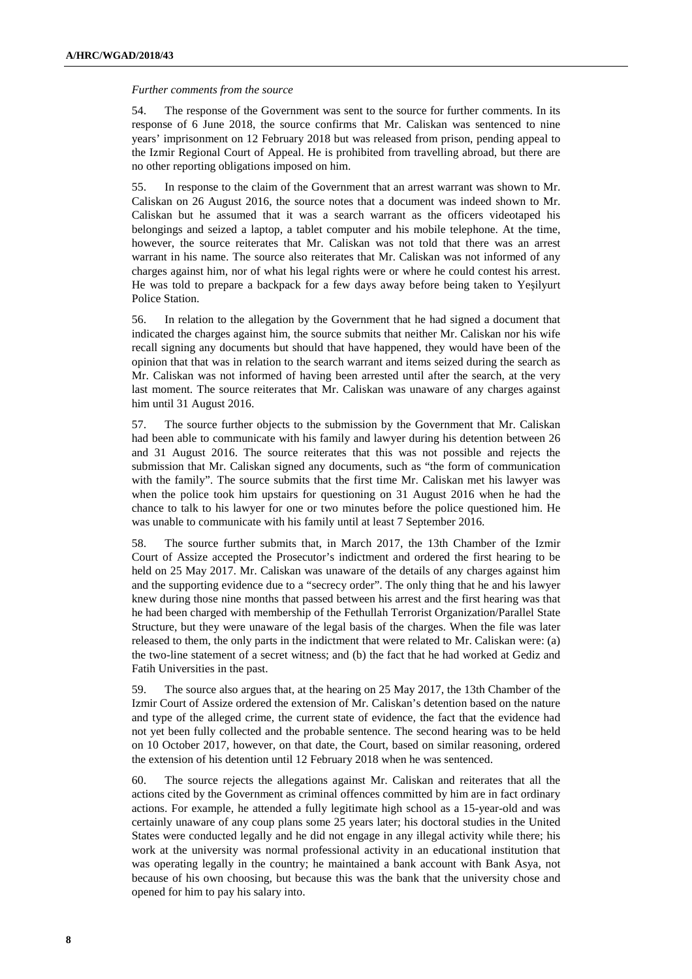#### *Further comments from the source*

54. The response of the Government was sent to the source for further comments. In its response of 6 June 2018, the source confirms that Mr. Caliskan was sentenced to nine years' imprisonment on 12 February 2018 but was released from prison, pending appeal to the Izmir Regional Court of Appeal. He is prohibited from travelling abroad, but there are no other reporting obligations imposed on him.

55. In response to the claim of the Government that an arrest warrant was shown to Mr. Caliskan on 26 August 2016, the source notes that a document was indeed shown to Mr. Caliskan but he assumed that it was a search warrant as the officers videotaped his belongings and seized a laptop, a tablet computer and his mobile telephone. At the time, however, the source reiterates that Mr. Caliskan was not told that there was an arrest warrant in his name. The source also reiterates that Mr. Caliskan was not informed of any charges against him, nor of what his legal rights were or where he could contest his arrest. He was told to prepare a backpack for a few days away before being taken to Yeşilyurt Police Station.

56. In relation to the allegation by the Government that he had signed a document that indicated the charges against him, the source submits that neither Mr. Caliskan nor his wife recall signing any documents but should that have happened, they would have been of the opinion that that was in relation to the search warrant and items seized during the search as Mr. Caliskan was not informed of having been arrested until after the search, at the very last moment. The source reiterates that Mr. Caliskan was unaware of any charges against him until 31 August 2016.

57. The source further objects to the submission by the Government that Mr. Caliskan had been able to communicate with his family and lawyer during his detention between 26 and 31 August 2016. The source reiterates that this was not possible and rejects the submission that Mr. Caliskan signed any documents, such as "the form of communication with the family". The source submits that the first time Mr. Caliskan met his lawyer was when the police took him upstairs for questioning on 31 August 2016 when he had the chance to talk to his lawyer for one or two minutes before the police questioned him. He was unable to communicate with his family until at least 7 September 2016.

58. The source further submits that, in March 2017, the 13th Chamber of the Izmir Court of Assize accepted the Prosecutor's indictment and ordered the first hearing to be held on 25 May 2017. Mr. Caliskan was unaware of the details of any charges against him and the supporting evidence due to a "secrecy order". The only thing that he and his lawyer knew during those nine months that passed between his arrest and the first hearing was that he had been charged with membership of the Fethullah Terrorist Organization/Parallel State Structure, but they were unaware of the legal basis of the charges. When the file was later released to them, the only parts in the indictment that were related to Mr. Caliskan were: (a) the two-line statement of a secret witness; and (b) the fact that he had worked at Gediz and Fatih Universities in the past.

59. The source also argues that, at the hearing on 25 May 2017, the 13th Chamber of the Izmir Court of Assize ordered the extension of Mr. Caliskan's detention based on the nature and type of the alleged crime, the current state of evidence, the fact that the evidence had not yet been fully collected and the probable sentence. The second hearing was to be held on 10 October 2017, however, on that date, the Court, based on similar reasoning, ordered the extension of his detention until 12 February 2018 when he was sentenced.

60. The source rejects the allegations against Mr. Caliskan and reiterates that all the actions cited by the Government as criminal offences committed by him are in fact ordinary actions. For example, he attended a fully legitimate high school as a 15-year-old and was certainly unaware of any coup plans some 25 years later; his doctoral studies in the United States were conducted legally and he did not engage in any illegal activity while there; his work at the university was normal professional activity in an educational institution that was operating legally in the country; he maintained a bank account with Bank Asya, not because of his own choosing, but because this was the bank that the university chose and opened for him to pay his salary into.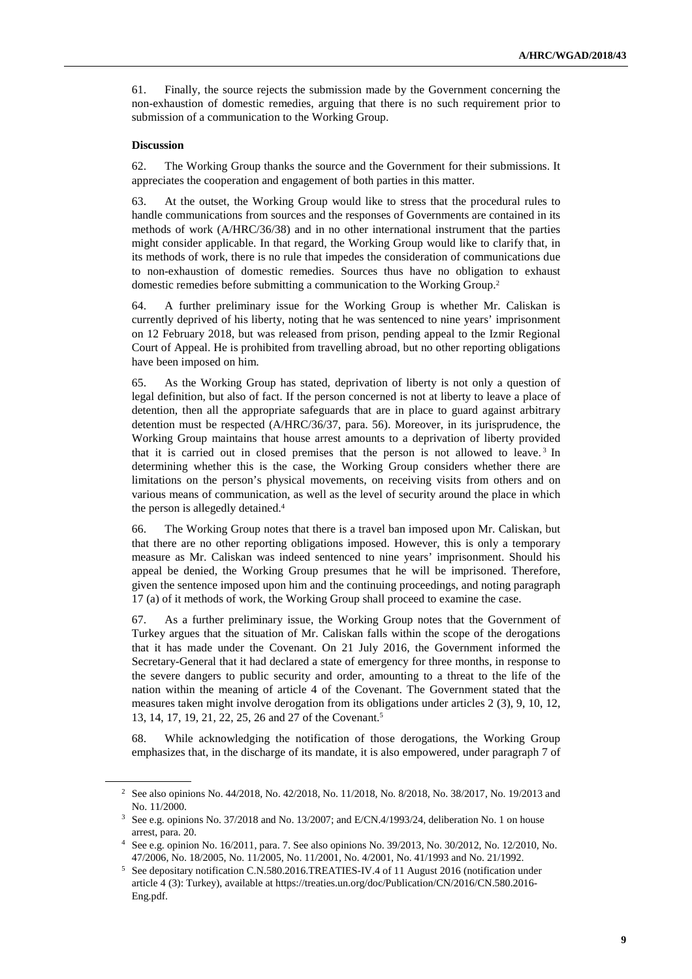61. Finally, the source rejects the submission made by the Government concerning the non-exhaustion of domestic remedies, arguing that there is no such requirement prior to submission of a communication to the Working Group.

#### **Discussion**

 $\overline{a}$ 

62. The Working Group thanks the source and the Government for their submissions. It appreciates the cooperation and engagement of both parties in this matter.

63. At the outset, the Working Group would like to stress that the procedural rules to handle communications from sources and the responses of Governments are contained in its methods of work (A/HRC/36/38) and in no other international instrument that the parties might consider applicable. In that regard, the Working Group would like to clarify that, in its methods of work, there is no rule that impedes the consideration of communications due to non-exhaustion of domestic remedies. Sources thus have no obligation to exhaust domestic remedies before submitting a communication to the Working Group.<sup>2</sup>

64. A further preliminary issue for the Working Group is whether Mr. Caliskan is currently deprived of his liberty, noting that he was sentenced to nine years' imprisonment on 12 February 2018, but was released from prison, pending appeal to the Izmir Regional Court of Appeal. He is prohibited from travelling abroad, but no other reporting obligations have been imposed on him.

65. As the Working Group has stated, deprivation of liberty is not only a question of legal definition, but also of fact. If the person concerned is not at liberty to leave a place of detention, then all the appropriate safeguards that are in place to guard against arbitrary detention must be respected (A/HRC/36/37, para. 56). Moreover, in its jurisprudence, the Working Group maintains that house arrest amounts to a deprivation of liberty provided that it is carried out in closed premises that the person is not allowed to leave.<sup>3</sup> In determining whether this is the case, the Working Group considers whether there are limitations on the person's physical movements, on receiving visits from others and on various means of communication, as well as the level of security around the place in which the person is allegedly detained.<sup>4</sup>

66. The Working Group notes that there is a travel ban imposed upon Mr. Caliskan, but that there are no other reporting obligations imposed. However, this is only a temporary measure as Mr. Caliskan was indeed sentenced to nine years' imprisonment. Should his appeal be denied, the Working Group presumes that he will be imprisoned. Therefore, given the sentence imposed upon him and the continuing proceedings, and noting paragraph 17 (a) of it methods of work, the Working Group shall proceed to examine the case.

67. As a further preliminary issue, the Working Group notes that the Government of Turkey argues that the situation of Mr. Caliskan falls within the scope of the derogations that it has made under the Covenant. On 21 July 2016, the Government informed the Secretary-General that it had declared a state of emergency for three months, in response to the severe dangers to public security and order, amounting to a threat to the life of the nation within the meaning of article 4 of the Covenant. The Government stated that the measures taken might involve derogation from its obligations under articles 2 (3), 9, 10, 12, 13, 14, 17, 19, 21, 22, 25, 26 and 27 of the Covenant.<sup>5</sup>

68. While acknowledging the notification of those derogations, the Working Group emphasizes that, in the discharge of its mandate, it is also empowered, under paragraph 7 of

<sup>2</sup> See also opinions No. 44/2018, No. 42/2018, No. 11/2018, No. 8/2018, No. 38/2017, No. 19/2013 and No. 11/2000.

<sup>3</sup> See e.g. opinions No. 37/2018 and No. 13/2007; and E/CN.4/1993/24, deliberation No. 1 on house arrest, para. 20.

<sup>4</sup> See e.g. opinion No. 16/2011, para. 7. See also opinions No. 39/2013, No. 30/2012, No. 12/2010, No. 47/2006, No. 18/2005, No. 11/2005, No. 11/2001, No. 4/2001, No. 41/1993 and No. 21/1992.

<sup>5</sup> See depositary notification C.N.580.2016.TREATIES-IV.4 of 11 August 2016 (notification under article 4 (3): Turkey), available at https://treaties.un.org/doc/Publication/CN/2016/CN.580.2016- Eng.pdf.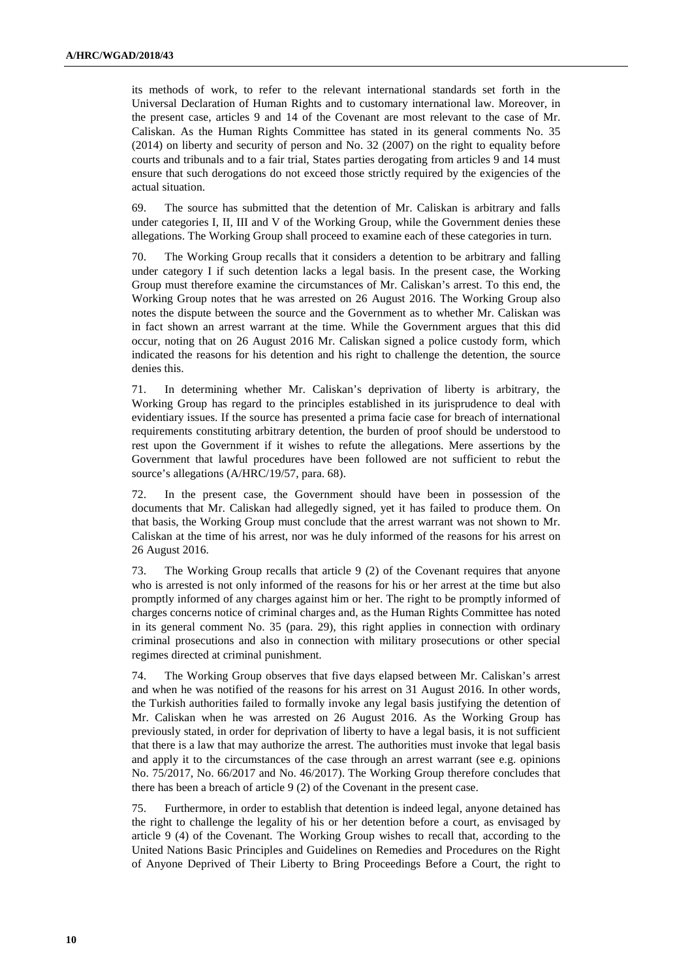its methods of work, to refer to the relevant international standards set forth in the Universal Declaration of Human Rights and to customary international law. Moreover, in the present case, articles 9 and 14 of the Covenant are most relevant to the case of Mr. Caliskan. As the Human Rights Committee has stated in its general comments No. 35 (2014) on liberty and security of person and No. 32 (2007) on the right to equality before courts and tribunals and to a fair trial, States parties derogating from articles 9 and 14 must ensure that such derogations do not exceed those strictly required by the exigencies of the actual situation.

69. The source has submitted that the detention of Mr. Caliskan is arbitrary and falls under categories I, II, III and V of the Working Group, while the Government denies these allegations. The Working Group shall proceed to examine each of these categories in turn.

70. The Working Group recalls that it considers a detention to be arbitrary and falling under category I if such detention lacks a legal basis. In the present case, the Working Group must therefore examine the circumstances of Mr. Caliskan's arrest. To this end, the Working Group notes that he was arrested on 26 August 2016. The Working Group also notes the dispute between the source and the Government as to whether Mr. Caliskan was in fact shown an arrest warrant at the time. While the Government argues that this did occur, noting that on 26 August 2016 Mr. Caliskan signed a police custody form, which indicated the reasons for his detention and his right to challenge the detention, the source denies this.

71. In determining whether Mr. Caliskan's deprivation of liberty is arbitrary, the Working Group has regard to the principles established in its jurisprudence to deal with evidentiary issues. If the source has presented a prima facie case for breach of international requirements constituting arbitrary detention, the burden of proof should be understood to rest upon the Government if it wishes to refute the allegations. Mere assertions by the Government that lawful procedures have been followed are not sufficient to rebut the source's allegations (A/HRC/19/57, para. 68).

72. In the present case, the Government should have been in possession of the documents that Mr. Caliskan had allegedly signed, yet it has failed to produce them. On that basis, the Working Group must conclude that the arrest warrant was not shown to Mr. Caliskan at the time of his arrest, nor was he duly informed of the reasons for his arrest on 26 August 2016.

73. The Working Group recalls that article 9 (2) of the Covenant requires that anyone who is arrested is not only informed of the reasons for his or her arrest at the time but also promptly informed of any charges against him or her. The right to be promptly informed of charges concerns notice of criminal charges and, as the Human Rights Committee has noted in its general comment No. 35 (para. 29), this right applies in connection with ordinary criminal prosecutions and also in connection with military prosecutions or other special regimes directed at criminal punishment.

74. The Working Group observes that five days elapsed between Mr. Caliskan's arrest and when he was notified of the reasons for his arrest on 31 August 2016. In other words, the Turkish authorities failed to formally invoke any legal basis justifying the detention of Mr. Caliskan when he was arrested on 26 August 2016. As the Working Group has previously stated, in order for deprivation of liberty to have a legal basis, it is not sufficient that there is a law that may authorize the arrest. The authorities must invoke that legal basis and apply it to the circumstances of the case through an arrest warrant (see e.g. opinions No. 75/2017, No. 66/2017 and No. 46/2017). The Working Group therefore concludes that there has been a breach of article 9 (2) of the Covenant in the present case.

75. Furthermore, in order to establish that detention is indeed legal, anyone detained has the right to challenge the legality of his or her detention before a court, as envisaged by article 9 (4) of the Covenant. The Working Group wishes to recall that, according to the United Nations Basic Principles and Guidelines on Remedies and Procedures on the Right of Anyone Deprived of Their Liberty to Bring Proceedings Before a Court, the right to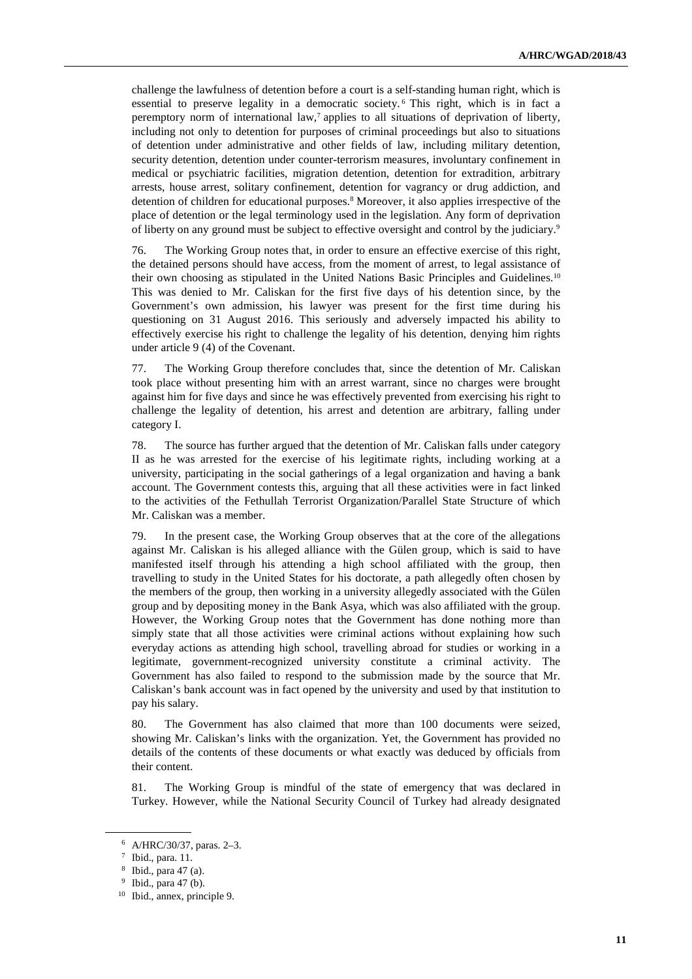challenge the lawfulness of detention before a court is a self-standing human right, which is essential to preserve legality in a democratic society. <sup>6</sup> This right, which is in fact a peremptory norm of international law,<sup>7</sup> applies to all situations of deprivation of liberty, including not only to detention for purposes of criminal proceedings but also to situations of detention under administrative and other fields of law, including military detention, security detention, detention under counter-terrorism measures, involuntary confinement in medical or psychiatric facilities, migration detention, detention for extradition, arbitrary arrests, house arrest, solitary confinement, detention for vagrancy or drug addiction, and detention of children for educational purposes.<sup>8</sup> Moreover, it also applies irrespective of the place of detention or the legal terminology used in the legislation. Any form of deprivation of liberty on any ground must be subject to effective oversight and control by the judiciary.<sup>9</sup>

76. The Working Group notes that, in order to ensure an effective exercise of this right, the detained persons should have access, from the moment of arrest, to legal assistance of their own choosing as stipulated in the United Nations Basic Principles and Guidelines.<sup>10</sup> This was denied to Mr. Caliskan for the first five days of his detention since, by the Government's own admission, his lawyer was present for the first time during his questioning on 31 August 2016. This seriously and adversely impacted his ability to effectively exercise his right to challenge the legality of his detention, denying him rights under article 9 (4) of the Covenant.

77. The Working Group therefore concludes that, since the detention of Mr. Caliskan took place without presenting him with an arrest warrant, since no charges were brought against him for five days and since he was effectively prevented from exercising his right to challenge the legality of detention, his arrest and detention are arbitrary, falling under category I.

78. The source has further argued that the detention of Mr. Caliskan falls under category II as he was arrested for the exercise of his legitimate rights, including working at a university, participating in the social gatherings of a legal organization and having a bank account. The Government contests this, arguing that all these activities were in fact linked to the activities of the Fethullah Terrorist Organization/Parallel State Structure of which Mr. Caliskan was a member.

79. In the present case, the Working Group observes that at the core of the allegations against Mr. Caliskan is his alleged alliance with the Gülen group, which is said to have manifested itself through his attending a high school affiliated with the group, then travelling to study in the United States for his doctorate, a path allegedly often chosen by the members of the group, then working in a university allegedly associated with the Gülen group and by depositing money in the Bank Asya, which was also affiliated with the group. However, the Working Group notes that the Government has done nothing more than simply state that all those activities were criminal actions without explaining how such everyday actions as attending high school, travelling abroad for studies or working in a legitimate, government-recognized university constitute a criminal activity. The Government has also failed to respond to the submission made by the source that Mr. Caliskan's bank account was in fact opened by the university and used by that institution to pay his salary.

80. The Government has also claimed that more than 100 documents were seized, showing Mr. Caliskan's links with the organization. Yet, the Government has provided no details of the contents of these documents or what exactly was deduced by officials from their content.

81. The Working Group is mindful of the state of emergency that was declared in Turkey. However, while the National Security Council of Turkey had already designated

<sup>6</sup> A/HRC/30/37, paras. 2–3.

<sup>7</sup> Ibid., para. 11.

<sup>8</sup> Ibid., para 47 (a).

<sup>&</sup>lt;sup>9</sup> Ibid., para 47 (b).

<sup>10</sup> Ibid., annex, principle 9.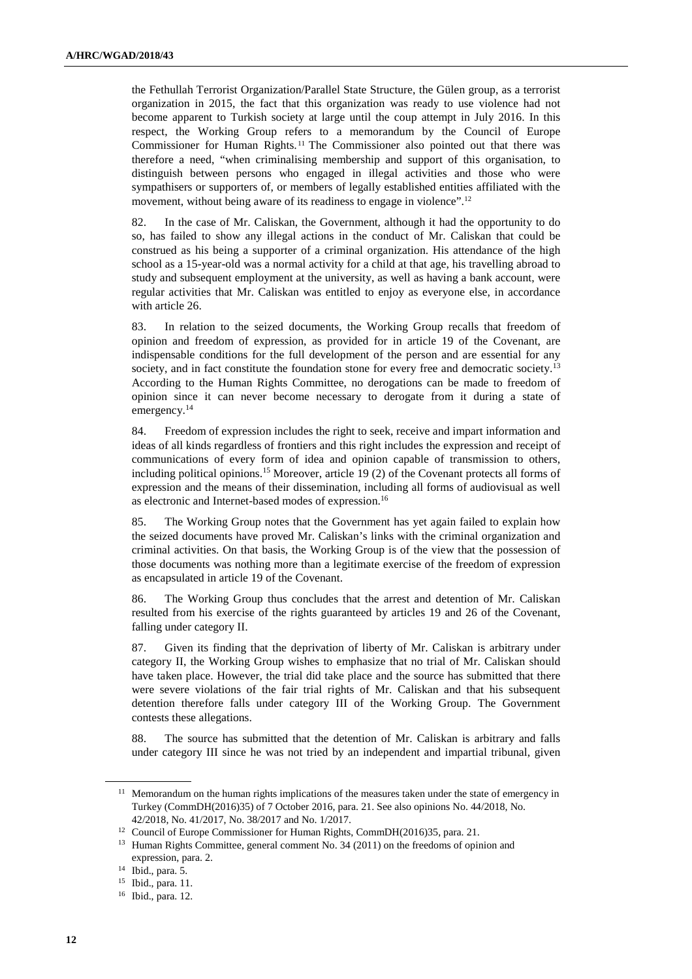the Fethullah Terrorist Organization/Parallel State Structure, the Gülen group, as a terrorist organization in 2015, the fact that this organization was ready to use violence had not become apparent to Turkish society at large until the coup attempt in July 2016. In this respect, the Working Group refers to a memorandum by the Council of Europe Commissioner for Human Rights. <sup>11</sup> The Commissioner also pointed out that there was therefore a need, "when criminalising membership and support of this organisation, to distinguish between persons who engaged in illegal activities and those who were sympathisers or supporters of, or members of legally established entities affiliated with the movement, without being aware of its readiness to engage in violence".<sup>12</sup>

82. In the case of Mr. Caliskan, the Government, although it had the opportunity to do so, has failed to show any illegal actions in the conduct of Mr. Caliskan that could be construed as his being a supporter of a criminal organization. His attendance of the high school as a 15-year-old was a normal activity for a child at that age, his travelling abroad to study and subsequent employment at the university, as well as having a bank account, were regular activities that Mr. Caliskan was entitled to enjoy as everyone else, in accordance with article 26.

83. In relation to the seized documents, the Working Group recalls that freedom of opinion and freedom of expression, as provided for in article 19 of the Covenant, are indispensable conditions for the full development of the person and are essential for any society, and in fact constitute the foundation stone for every free and democratic society.<sup>13</sup> According to the Human Rights Committee, no derogations can be made to freedom of opinion since it can never become necessary to derogate from it during a state of emergency.<sup>14</sup>

84. Freedom of expression includes the right to seek, receive and impart information and ideas of all kinds regardless of frontiers and this right includes the expression and receipt of communications of every form of idea and opinion capable of transmission to others, including political opinions.<sup>15</sup> Moreover, article 19 (2) of the Covenant protects all forms of expression and the means of their dissemination, including all forms of audiovisual as well as electronic and Internet-based modes of expression.<sup>16</sup>

85. The Working Group notes that the Government has yet again failed to explain how the seized documents have proved Mr. Caliskan's links with the criminal organization and criminal activities. On that basis, the Working Group is of the view that the possession of those documents was nothing more than a legitimate exercise of the freedom of expression as encapsulated in article 19 of the Covenant.

86. The Working Group thus concludes that the arrest and detention of Mr. Caliskan resulted from his exercise of the rights guaranteed by articles 19 and 26 of the Covenant, falling under category II.

87. Given its finding that the deprivation of liberty of Mr. Caliskan is arbitrary under category II, the Working Group wishes to emphasize that no trial of Mr. Caliskan should have taken place. However, the trial did take place and the source has submitted that there were severe violations of the fair trial rights of Mr. Caliskan and that his subsequent detention therefore falls under category III of the Working Group. The Government contests these allegations.

88. The source has submitted that the detention of Mr. Caliskan is arbitrary and falls under category III since he was not tried by an independent and impartial tribunal, given

<sup>&</sup>lt;sup>11</sup> Memorandum on the human rights implications of the measures taken under the state of emergency in Turkey (CommDH(2016)35) of 7 October 2016, para. 21. See also opinions No. 44/2018, No. 42/2018, No. 41/2017, No. 38/2017 and No. 1/2017.

<sup>&</sup>lt;sup>12</sup> Council of Europe Commissioner for Human Rights, CommDH(2016)35, para. 21.

<sup>&</sup>lt;sup>13</sup> Human Rights Committee, general comment No. 34 (2011) on the freedoms of opinion and expression, para. 2.

<sup>14</sup> Ibid., para. 5.

<sup>15</sup> Ibid., para. 11.

<sup>16</sup> Ibid., para. 12.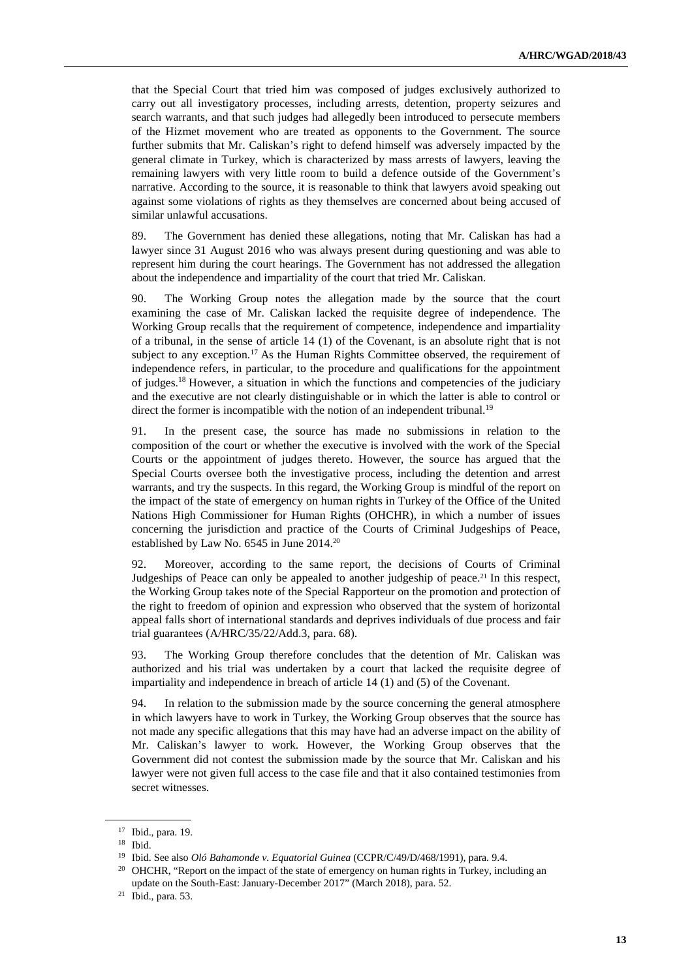that the Special Court that tried him was composed of judges exclusively authorized to carry out all investigatory processes, including arrests, detention, property seizures and search warrants, and that such judges had allegedly been introduced to persecute members of the Hizmet movement who are treated as opponents to the Government. The source further submits that Mr. Caliskan's right to defend himself was adversely impacted by the general climate in Turkey, which is characterized by mass arrests of lawyers, leaving the remaining lawyers with very little room to build a defence outside of the Government's narrative. According to the source, it is reasonable to think that lawyers avoid speaking out against some violations of rights as they themselves are concerned about being accused of similar unlawful accusations.

89. The Government has denied these allegations, noting that Mr. Caliskan has had a lawyer since 31 August 2016 who was always present during questioning and was able to represent him during the court hearings. The Government has not addressed the allegation about the independence and impartiality of the court that tried Mr. Caliskan.

90. The Working Group notes the allegation made by the source that the court examining the case of Mr. Caliskan lacked the requisite degree of independence. The Working Group recalls that the requirement of competence, independence and impartiality of a tribunal, in the sense of article 14 (1) of the Covenant, is an absolute right that is not subject to any exception.<sup>17</sup> As the Human Rights Committee observed, the requirement of independence refers, in particular, to the procedure and qualifications for the appointment of judges.<sup>18</sup> However, a situation in which the functions and competencies of the judiciary and the executive are not clearly distinguishable or in which the latter is able to control or direct the former is incompatible with the notion of an independent tribunal.<sup>19</sup>

91. In the present case, the source has made no submissions in relation to the composition of the court or whether the executive is involved with the work of the Special Courts or the appointment of judges thereto. However, the source has argued that the Special Courts oversee both the investigative process, including the detention and arrest warrants, and try the suspects. In this regard, the Working Group is mindful of the report on the impact of the state of emergency on human rights in Turkey of the Office of the United Nations High Commissioner for Human Rights (OHCHR), in which a number of issues concerning the jurisdiction and practice of the Courts of Criminal Judgeships of Peace, established by Law No. 6545 in June 2014.<sup>20</sup>

92. Moreover, according to the same report, the decisions of Courts of Criminal Judgeships of Peace can only be appealed to another judgeship of peace.<sup>21</sup> In this respect, the Working Group takes note of the Special Rapporteur on the promotion and protection of the right to freedom of opinion and expression who observed that the system of horizontal appeal falls short of international standards and deprives individuals of due process and fair trial guarantees (A/HRC/35/22/Add.3, para. 68).

93. The Working Group therefore concludes that the detention of Mr. Caliskan was authorized and his trial was undertaken by a court that lacked the requisite degree of impartiality and independence in breach of article 14 (1) and (5) of the Covenant.

94. In relation to the submission made by the source concerning the general atmosphere in which lawyers have to work in Turkey, the Working Group observes that the source has not made any specific allegations that this may have had an adverse impact on the ability of Mr. Caliskan's lawyer to work. However, the Working Group observes that the Government did not contest the submission made by the source that Mr. Caliskan and his lawyer were not given full access to the case file and that it also contained testimonies from secret witnesses.

<sup>17</sup> Ibid., para. 19.

<sup>18</sup> Ibid.

<sup>&</sup>lt;sup>19</sup> Ibid. See also *Oló Bahamonde v. Equatorial Guinea* (CCPR/C/49/D/468/1991), para. 9.4.

<sup>&</sup>lt;sup>20</sup> OHCHR, "Report on the impact of the state of emergency on human rights in Turkey, including an update on the South-East: January-December 2017" (March 2018), para. 52.

<sup>21</sup> Ibid., para. 53.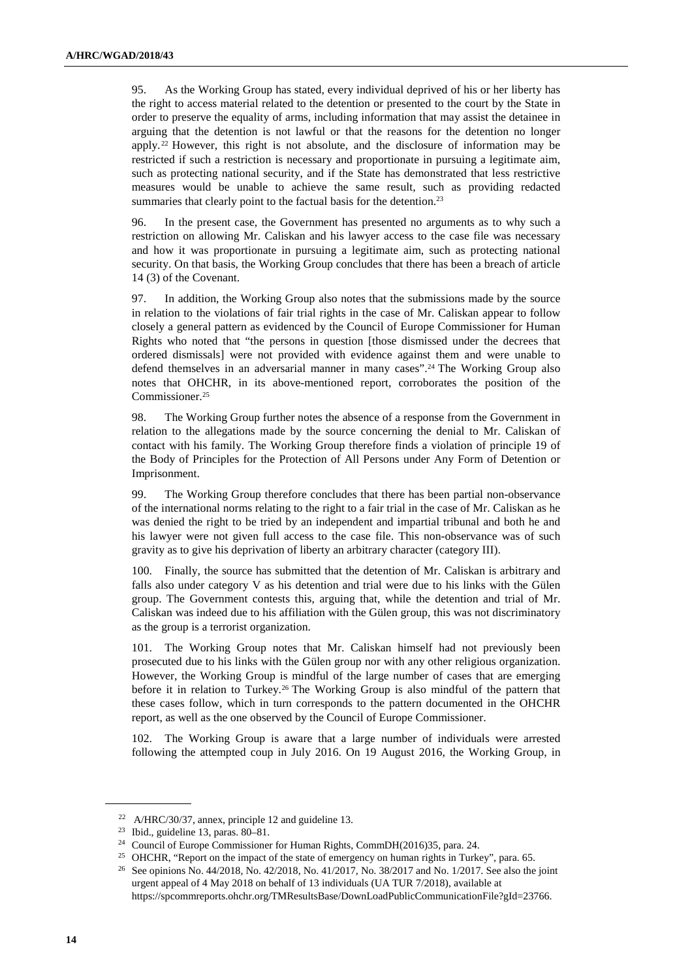95. As the Working Group has stated, every individual deprived of his or her liberty has the right to access material related to the detention or presented to the court by the State in order to preserve the equality of arms, including information that may assist the detainee in arguing that the detention is not lawful or that the reasons for the detention no longer apply. <sup>22</sup> However, this right is not absolute, and the disclosure of information may be restricted if such a restriction is necessary and proportionate in pursuing a legitimate aim, such as protecting national security, and if the State has demonstrated that less restrictive measures would be unable to achieve the same result, such as providing redacted summaries that clearly point to the factual basis for the detention.<sup>23</sup>

96. In the present case, the Government has presented no arguments as to why such a restriction on allowing Mr. Caliskan and his lawyer access to the case file was necessary and how it was proportionate in pursuing a legitimate aim, such as protecting national security. On that basis, the Working Group concludes that there has been a breach of article 14 (3) of the Covenant.

97. In addition, the Working Group also notes that the submissions made by the source in relation to the violations of fair trial rights in the case of Mr. Caliskan appear to follow closely a general pattern as evidenced by the Council of Europe Commissioner for Human Rights who noted that "the persons in question [those dismissed under the decrees that ordered dismissals] were not provided with evidence against them and were unable to defend themselves in an adversarial manner in many cases".24 The Working Group also notes that OHCHR, in its above-mentioned report, corroborates the position of the Commissioner.<sup>25</sup>

98. The Working Group further notes the absence of a response from the Government in relation to the allegations made by the source concerning the denial to Mr. Caliskan of contact with his family. The Working Group therefore finds a violation of principle 19 of the Body of Principles for the Protection of All Persons under Any Form of Detention or Imprisonment.

99. The Working Group therefore concludes that there has been partial non-observance of the international norms relating to the right to a fair trial in the case of Mr. Caliskan as he was denied the right to be tried by an independent and impartial tribunal and both he and his lawyer were not given full access to the case file. This non-observance was of such gravity as to give his deprivation of liberty an arbitrary character (category III).

100. Finally, the source has submitted that the detention of Mr. Caliskan is arbitrary and falls also under category V as his detention and trial were due to his links with the Gülen group. The Government contests this, arguing that, while the detention and trial of Mr. Caliskan was indeed due to his affiliation with the Gülen group, this was not discriminatory as the group is a terrorist organization.

101. The Working Group notes that Mr. Caliskan himself had not previously been prosecuted due to his links with the Gülen group nor with any other religious organization. However, the Working Group is mindful of the large number of cases that are emerging before it in relation to Turkey.<sup>26</sup> The Working Group is also mindful of the pattern that these cases follow, which in turn corresponds to the pattern documented in the OHCHR report, as well as the one observed by the Council of Europe Commissioner.

102. The Working Group is aware that a large number of individuals were arrested following the attempted coup in July 2016. On 19 August 2016, the Working Group, in

<sup>22</sup> A/HRC/30/37, annex, principle 12 and guideline 13.

<sup>23</sup> Ibid., guideline 13, paras. 80–81.

<sup>24</sup> Council of Europe Commissioner for Human Rights, CommDH(2016)35, para. 24.

<sup>&</sup>lt;sup>25</sup> OHCHR, "Report on the impact of the state of emergency on human rights in Turkey", para. 65.

<sup>26</sup> See opinions No. 44/2018, No. 42/2018, No. 41/2017, No. 38/2017 and No. 1/2017. See also the joint urgent appeal of 4 May 2018 on behalf of 13 individuals (UA TUR 7/2018), available at https://spcommreports.ohchr.org/TMResultsBase/DownLoadPublicCommunicationFile?gId=23766.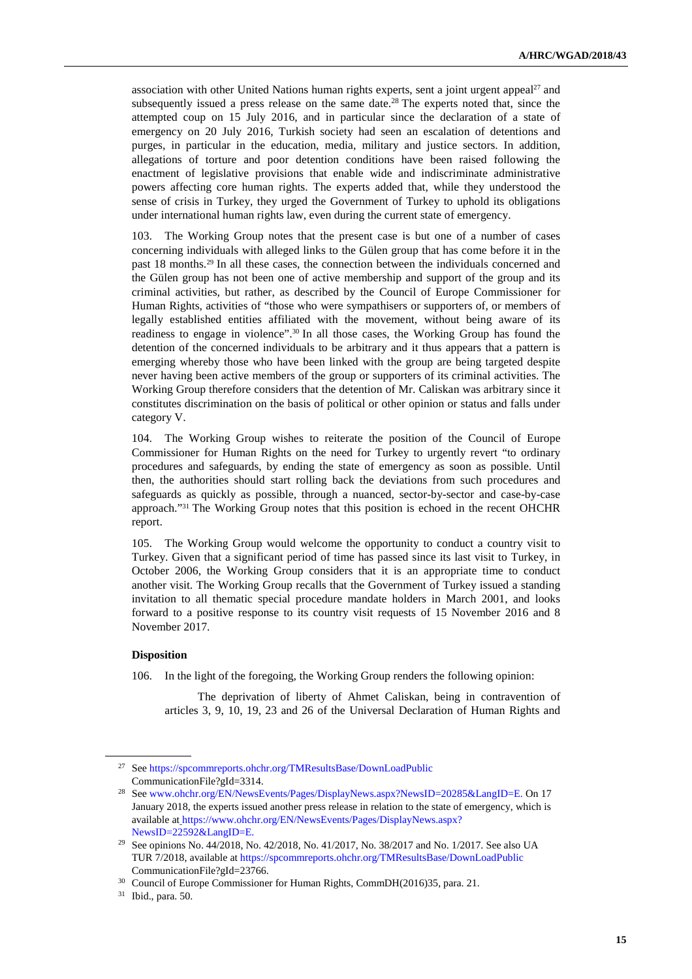association with other United Nations human rights experts, sent a joint urgent appeal<sup>27</sup> and subsequently issued a press release on the same date.<sup>28</sup> The experts noted that, since the attempted coup on 15 July 2016, and in particular since the declaration of a state of emergency on 20 July 2016, Turkish society had seen an escalation of detentions and purges, in particular in the education, media, military and justice sectors. In addition, allegations of torture and poor detention conditions have been raised following the enactment of legislative provisions that enable wide and indiscriminate administrative powers affecting core human rights. The experts added that, while they understood the sense of crisis in Turkey, they urged the Government of Turkey to uphold its obligations under international human rights law, even during the current state of emergency.

103. The Working Group notes that the present case is but one of a number of cases concerning individuals with alleged links to the Gülen group that has come before it in the past 18 months.29 In all these cases, the connection between the individuals concerned and the Gülen group has not been one of active membership and support of the group and its criminal activities, but rather, as described by the Council of Europe Commissioner for Human Rights, activities of "those who were sympathisers or supporters of, or members of legally established entities affiliated with the movement, without being aware of its readiness to engage in violence".30 In all those cases, the Working Group has found the detention of the concerned individuals to be arbitrary and it thus appears that a pattern is emerging whereby those who have been linked with the group are being targeted despite never having been active members of the group or supporters of its criminal activities. The Working Group therefore considers that the detention of Mr. Caliskan was arbitrary since it constitutes discrimination on the basis of political or other opinion or status and falls under category V.

104. The Working Group wishes to reiterate the position of the Council of Europe Commissioner for Human Rights on the need for Turkey to urgently revert "to ordinary procedures and safeguards, by ending the state of emergency as soon as possible. Until then, the authorities should start rolling back the deviations from such procedures and safeguards as quickly as possible, through a nuanced, sector-by-sector and case-by-case approach."31 The Working Group notes that this position is echoed in the recent OHCHR report.

105. The Working Group would welcome the opportunity to conduct a country visit to Turkey. Given that a significant period of time has passed since its last visit to Turkey, in October 2006, the Working Group considers that it is an appropriate time to conduct another visit. The Working Group recalls that the Government of Turkey issued a standing invitation to all thematic special procedure mandate holders in March 2001, and looks forward to a positive response to its country visit requests of 15 November 2016 and 8 November 2017.

#### **Disposition**

 $\overline{a}$ 

106. In the light of the foregoing, the Working Group renders the following opinion:

 The deprivation of liberty of Ahmet Caliskan, being in contravention of articles 3, 9, 10, 19, 23 and 26 of the Universal Declaration of Human Rights and

<sup>27</sup> See https://spcommreports.ohchr.org/TMResultsBase/DownLoadPublic CommunicationFile?gId=3314.

<sup>28</sup> See www.ohchr.org/EN/NewsEvents/Pages/DisplayNews.aspx?NewsID=20285&LangID=E. On 17 January 2018, the experts issued another press release in relation to the state of emergency, which is available at https://www.ohchr.org/EN/NewsEvents/Pages/DisplayNews.aspx? NewsID=22592&LangID=E.

<sup>29</sup> See opinions No. 44/2018, No. 42/2018, No. 41/2017, No. 38/2017 and No. 1/2017. See also UA TUR 7/2018, available at https://spcommreports.ohchr.org/TMResultsBase/DownLoadPublic CommunicationFile?gId=23766.

<sup>30</sup> Council of Europe Commissioner for Human Rights, CommDH(2016)35, para. 21.

<sup>31</sup> Ibid., para. 50.